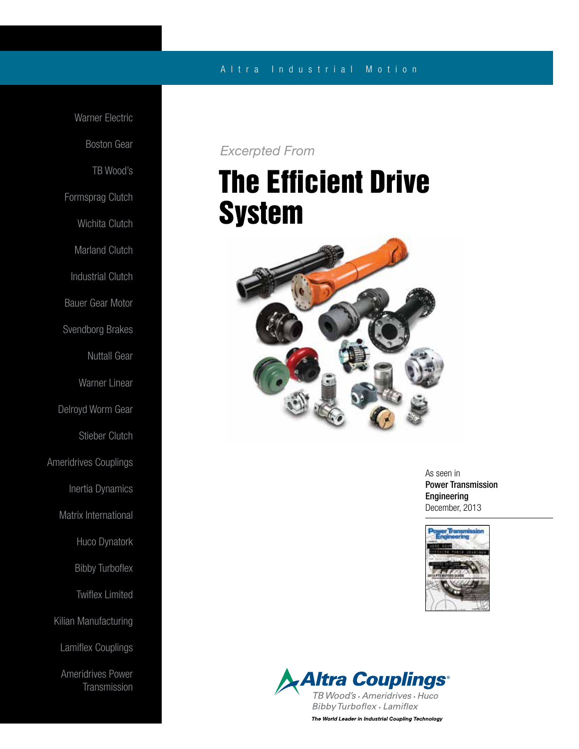### A l t r a Industrial Motion

Warner Electric Boston Gear TB Wood's Formsprag Clutch Wichita Clutch Marland Clutch Industrial Clutch Bauer Gear Motor Svendborg Brakes Nuttall Gear Warner Linear Delroyd Worm Gear Stieber Clutch Ameridrives Couplings Inertia Dynamics Matrix International Huco Dynatork Bibby Turboflex Twiflex Limited Kilian Manufacturing Lamiflex Couplings Ameridrives Power **Transmission** 

## *Excerpted From*

# The Efficient Drive System



As seen in Power Transmission Engineering December, 2013



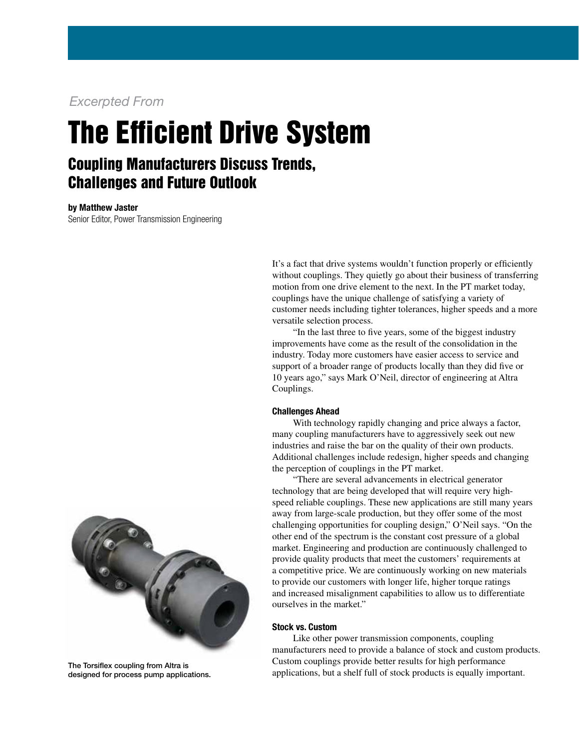### *Excerpted From*

# The Efficient Drive System

# Coupling Manufacturers Discuss Trends, Challenges and Future Outlook

by Matthew Jaster Senior Editor, Power Transmission Engineering



 "In the last three to five years, some of the biggest industry improvements have come as the result of the consolidation in the industry. Today more customers have easier access to service and support of a broader range of products locally than they did five or 10 years ago," says Mark O'Neil, director of engineering at Altra Couplings.

#### Challenges Ahead

 With technology rapidly changing and price always a factor, many coupling manufacturers have to aggressively seek out new industries and raise the bar on the quality of their own products. Additional challenges include redesign, higher speeds and changing the perception of couplings in the PT market.

 "There are several advancements in electrical generator technology that are being developed that will require very highspeed reliable couplings. These new applications are still many years away from large-scale production, but they offer some of the most challenging opportunities for coupling design," O'Neil says. "On the other end of the spectrum is the constant cost pressure of a global market. Engineering and production are continuously challenged to provide quality products that meet the customers' requirements at a competitive price. We are continuously working on new materials to provide our customers with longer life, higher torque ratings and increased misalignment capabilities to allow us to differentiate ourselves in the market."

#### Stock vs. Custom

 Like other power transmission components, coupling manufacturers need to provide a balance of stock and custom products. Custom couplings provide better results for high performance applications, but a shelf full of stock products is equally important.



The Torsiflex coupling from Altra is designed for process pump applications.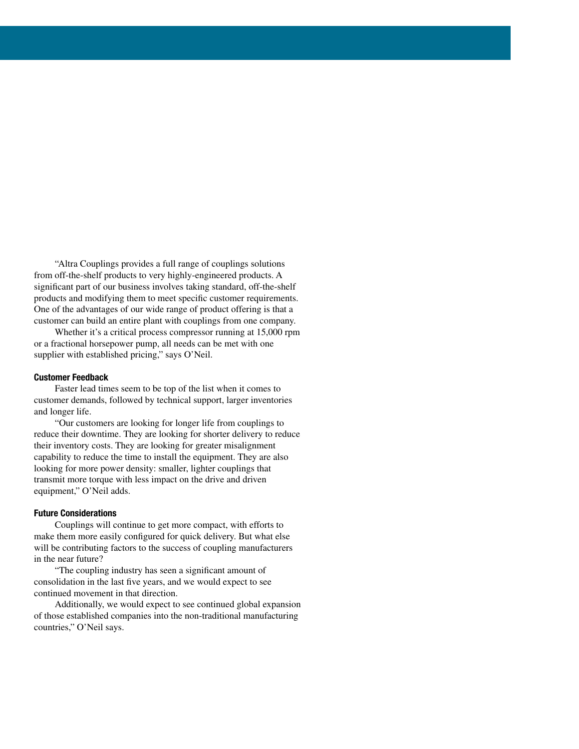"Altra Couplings provides a full range of couplings solutions from off-the-shelf products to very highly-engineered products. A significant part of our business involves taking standard, off-the-shelf products and modifying them to meet specific customer requirements. One of the advantages of our wide range of product offering is that a customer can build an entire plant with couplings from one company.

 Whether it's a critical process compressor running at 15,000 rpm or a fractional horsepower pump, all needs can be met with one supplier with established pricing," says O'Neil.

#### Customer Feedback

 Faster lead times seem to be top of the list when it comes to customer demands, followed by technical support, larger inventories and longer life.

 "Our customers are looking for longer life from couplings to reduce their downtime. They are looking for shorter delivery to reduce their inventory costs. They are looking for greater misalignment capability to reduce the time to install the equipment. They are also looking for more power density: smaller, lighter couplings that transmit more torque with less impact on the drive and driven equipment," O'Neil adds.

#### Future Considerations

 Couplings will continue to get more compact, with efforts to make them more easily configured for quick delivery. But what else will be contributing factors to the success of coupling manufacturers in the near future?

 "The coupling industry has seen a significant amount of consolidation in the last five years, and we would expect to see continued movement in that direction.

 Additionally, we would expect to see continued global expansion of those established companies into the non-traditional manufacturing countries," O'Neil says.